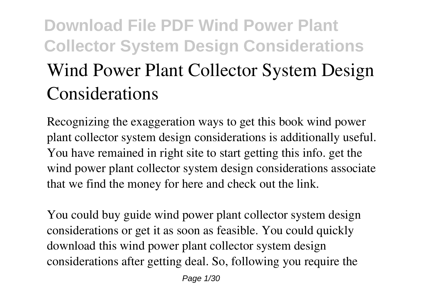# **Download File PDF Wind Power Plant Collector System Design Considerations Wind Power Plant Collector System Design Considerations**

Recognizing the exaggeration ways to get this book **wind power plant collector system design considerations** is additionally useful. You have remained in right site to start getting this info. get the wind power plant collector system design considerations associate that we find the money for here and check out the link.

You could buy guide wind power plant collector system design considerations or get it as soon as feasible. You could quickly download this wind power plant collector system design considerations after getting deal. So, following you require the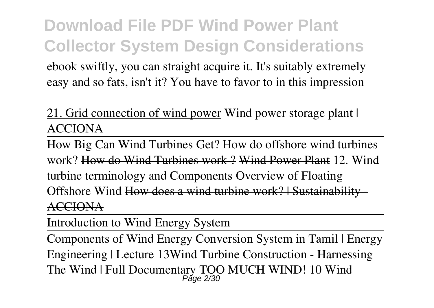ebook swiftly, you can straight acquire it. It's suitably extremely easy and so fats, isn't it? You have to favor to in this impression

### 21. Grid connection of wind power *Wind power storage plant | ACCIONA*

How Big Can Wind Turbines Get? How do offshore wind turbines work? How do Wind Turbines work ? Wind Power Plant **12. Wind turbine terminology and Components** Overview of Floating Offshore Wind How does a wind turbine work? | Sustainability - ACCIONA

Introduction to Wind Energy System

Components of Wind Energy Conversion System in Tamil | Energy Engineering | Lecture 13*Wind Turbine Construction - Harnessing The Wind | Full Documentary* **TOO MUCH WIND! 10 Wind** Page 2/30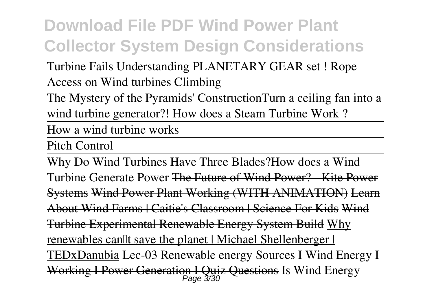### **Turbine Fails** *Understanding PLANETARY GEAR set ! Rope Access on Wind turbines Climbing*

The Mystery of the Pyramids' Construction*Turn a ceiling fan into a wind turbine generator?!* **How does a Steam Turbine Work ?**

How a wind turbine works

Pitch Control

Why Do Wind Turbines Have Three Blades?*How does a Wind Turbine Generate Power* The Future of Wind Power? - Kite Power Systems Wind Power Plant Working (WITH ANIMATION) Learn About Wind Farms | Caitie's Classroom | Science For Kids Wind Turbine Experimental Renewable Energy System Build Why renewables can<sup>''</sup> t save the planet | Michael Shellenberger | TEDxDanubia Lec-03 Renewable energy Sources I Wind Energy I Working I Power Generation I Quiz Questions *Is Wind Energy* Page 3/30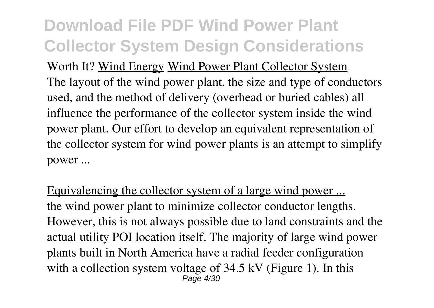*Worth It?* Wind Energy Wind Power Plant Collector System The layout of the wind power plant, the size and type of conductors used, and the method of delivery (overhead or buried cables) all influence the performance of the collector system inside the wind power plant. Our effort to develop an equivalent representation of the collector system for wind power plants is an attempt to simplify power ...

Equivalencing the collector system of a large wind power ... the wind power plant to minimize collector conductor lengths. However, this is not always possible due to land constraints and the actual utility POI location itself. The majority of large wind power plants built in North America have a radial feeder configuration with a collection system voltage of 34.5 kV (Figure 1). In this  $P$ age  $4/30$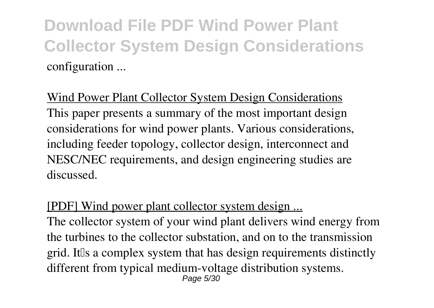**Download File PDF Wind Power Plant Collector System Design Considerations** configuration ...

Wind Power Plant Collector System Design Considerations This paper presents a summary of the most important design considerations for wind power plants. Various considerations, including feeder topology, collector design, interconnect and NESC/NEC requirements, and design engineering studies are discussed.

#### [PDF] Wind power plant collector system design ...

The collector system of your wind plant delivers wind energy from the turbines to the collector substation, and on to the transmission grid. It a complex system that has design requirements distinctly different from typical medium-voltage distribution systems. Page 5/30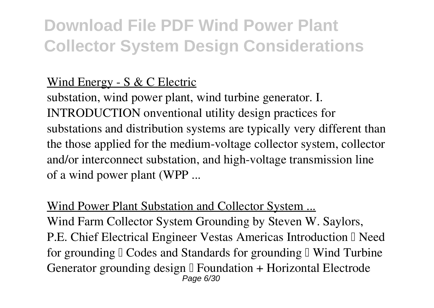### Wind Energy - S & C Electric

substation, wind power plant, wind turbine generator. I. INTRODUCTION onventional utility design practices for substations and distribution systems are typically very different than the those applied for the medium-voltage collector system, collector and/or interconnect substation, and high-voltage transmission line of a wind power plant (WPP ...

#### Wind Power Plant Substation and Collector System ...

Wind Farm Collector System Grounding by Steven W. Saylors, P.E. Chief Electrical Engineer Vestas Americas Introduction II Need for grounding  $\mathbb I$  Codes and Standards for grounding  $\mathbb I$  Wind Turbine Generator grounding design  $\mathbb I$  Foundation + Horizontal Electrode Page 6/30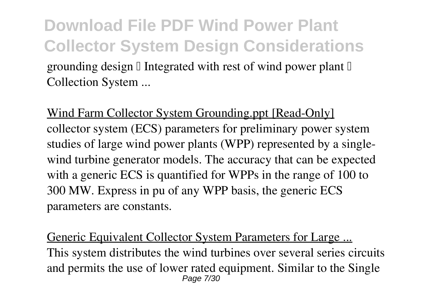**Download File PDF Wind Power Plant Collector System Design Considerations** grounding design  $\Box$  Integrated with rest of wind power plant  $\Box$ Collection System ...

Wind Farm Collector System Grounding.ppt [Read-Only] collector system (ECS) parameters for preliminary power system studies of large wind power plants (WPP) represented by a singlewind turbine generator models. The accuracy that can be expected with a generic ECS is quantified for WPPs in the range of 100 to 300 MW. Express in pu of any WPP basis, the generic ECS parameters are constants.

Generic Equivalent Collector System Parameters for Large ... This system distributes the wind turbines over several series circuits and permits the use of lower rated equipment. Similar to the Single Page 7/30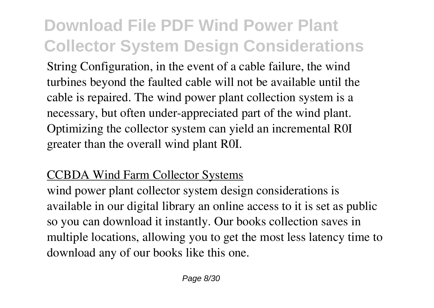String Configuration, in the event of a cable failure, the wind turbines beyond the faulted cable will not be available until the cable is repaired. The wind power plant collection system is a necessary, but often under-appreciated part of the wind plant. Optimizing the collector system can yield an incremental R0I greater than the overall wind plant R0I.

#### CCBDA Wind Farm Collector Systems

wind power plant collector system design considerations is available in our digital library an online access to it is set as public so you can download it instantly. Our books collection saves in multiple locations, allowing you to get the most less latency time to download any of our books like this one.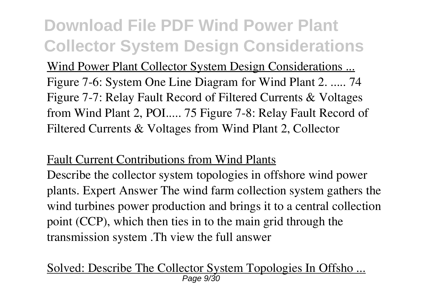Wind Power Plant Collector System Design Considerations ... Figure 7-6: System One Line Diagram for Wind Plant 2. ..... 74 Figure 7-7: Relay Fault Record of Filtered Currents & Voltages from Wind Plant 2, POI..... 75 Figure 7-8: Relay Fault Record of Filtered Currents & Voltages from Wind Plant 2, Collector

#### Fault Current Contributions from Wind Plants

Describe the collector system topologies in offshore wind power plants. Expert Answer The wind farm collection system gathers the wind turbines power production and brings it to a central collection point (CCP), which then ties in to the main grid through the transmission system .Th view the full answer

Solved: Describe The Collector System Topologies In Offsho ... Page 9/30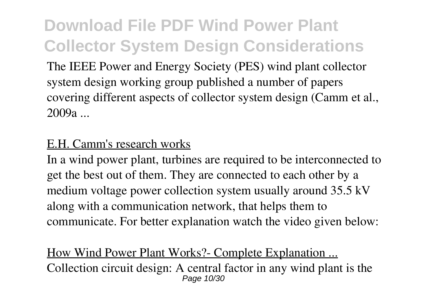The IEEE Power and Energy Society (PES) wind plant collector system design working group published a number of papers covering different aspects of collector system design (Camm et al., 2009a ...

#### E.H. Camm's research works

In a wind power plant, turbines are required to be interconnected to get the best out of them. They are connected to each other by a medium voltage power collection system usually around 35.5 kV along with a communication network, that helps them to communicate. For better explanation watch the video given below:

How Wind Power Plant Works?- Complete Explanation ... Collection circuit design: A central factor in any wind plant is the Page 10/30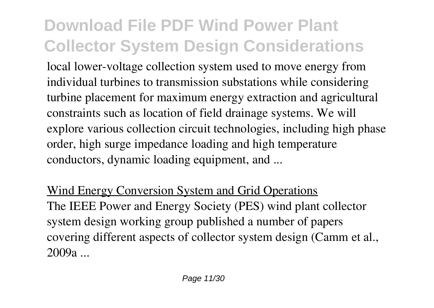local lower-voltage collection system used to move energy from individual turbines to transmission substations while considering turbine placement for maximum energy extraction and agricultural constraints such as location of field drainage systems. We will explore various collection circuit technologies, including high phase order, high surge impedance loading and high temperature conductors, dynamic loading equipment, and ...

Wind Energy Conversion System and Grid Operations The IEEE Power and Energy Society (PES) wind plant collector system design working group published a number of papers covering different aspects of collector system design (Camm et al., 2009a ...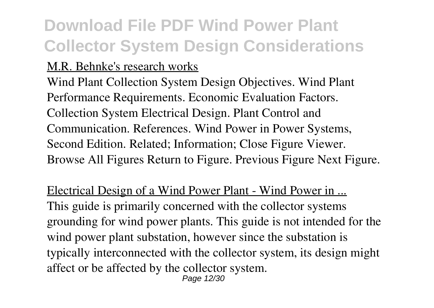#### M.R. Behnke's research works

Wind Plant Collection System Design Objectives. Wind Plant Performance Requirements. Economic Evaluation Factors. Collection System Electrical Design. Plant Control and Communication. References. Wind Power in Power Systems, Second Edition. Related; Information; Close Figure Viewer. Browse All Figures Return to Figure. Previous Figure Next Figure.

Electrical Design of a Wind Power Plant - Wind Power in ... This guide is primarily concerned with the collector systems grounding for wind power plants. This guide is not intended for the wind power plant substation, however since the substation is typically interconnected with the collector system, its design might affect or be affected by the collector system. Page 12/30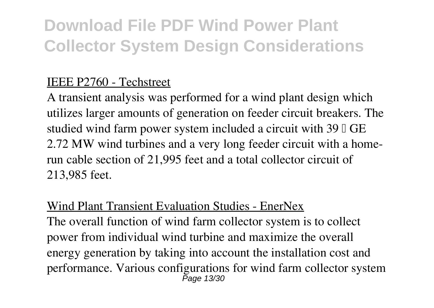#### IEEE P2760 - Techstreet

A transient analysis was performed for a wind plant design which utilizes larger amounts of generation on feeder circuit breakers. The studied wind farm power system included a circuit with  $39 \text{ TGE}$ 2.72 MW wind turbines and a very long feeder circuit with a homerun cable section of 21,995 feet and a total collector circuit of 213,985 feet.

#### Wind Plant Transient Evaluation Studies - EnerNex

The overall function of wind farm collector system is to collect power from individual wind turbine and maximize the overall energy generation by taking into account the installation cost and performance. Various configurations for wind farm collector system Page 13/30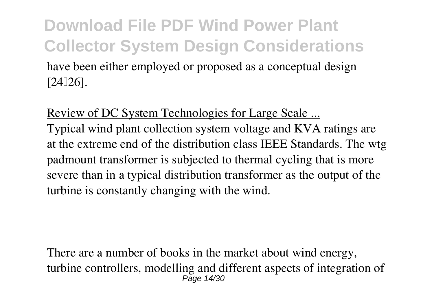### **Download File PDF Wind Power Plant Collector System Design Considerations** have been either employed or proposed as a conceptual design  $[24]26$ ].

#### Review of DC System Technologies for Large Scale ...

Typical wind plant collection system voltage and KVA ratings are at the extreme end of the distribution class IEEE Standards. The wtg padmount transformer is subjected to thermal cycling that is more severe than in a typical distribution transformer as the output of the turbine is constantly changing with the wind.

There are a number of books in the market about wind energy, turbine controllers, modelling and different aspects of integration of  $P$ age  $14/30$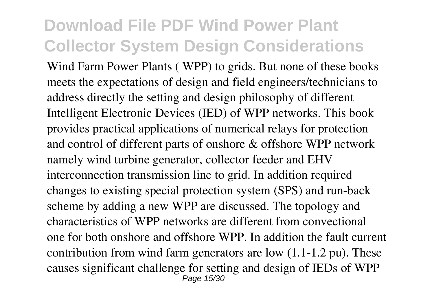Wind Farm Power Plants ( WPP) to grids. But none of these books meets the expectations of design and field engineers/technicians to address directly the setting and design philosophy of different Intelligent Electronic Devices (IED) of WPP networks. This book provides practical applications of numerical relays for protection and control of different parts of onshore & offshore WPP network namely wind turbine generator, collector feeder and EHV interconnection transmission line to grid. In addition required changes to existing special protection system (SPS) and run-back scheme by adding a new WPP are discussed. The topology and characteristics of WPP networks are different from convectional one for both onshore and offshore WPP. In addition the fault current contribution from wind farm generators are low (1.1-1.2 pu). These causes significant challenge for setting and design of IEDs of WPP Page 15/30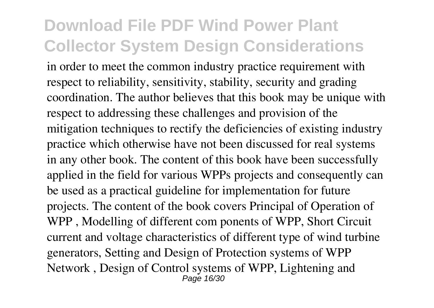in order to meet the common industry practice requirement with respect to reliability, sensitivity, stability, security and grading coordination. The author believes that this book may be unique with respect to addressing these challenges and provision of the mitigation techniques to rectify the deficiencies of existing industry practice which otherwise have not been discussed for real systems in any other book. The content of this book have been successfully applied in the field for various WPPs projects and consequently can be used as a practical guideline for implementation for future projects. The content of the book covers Principal of Operation of WPP , Modelling of different com ponents of WPP, Short Circuit current and voltage characteristics of different type of wind turbine generators, Setting and Design of Protection systems of WPP Network , Design of Control systems of WPP, Lightening and **Page 16/30**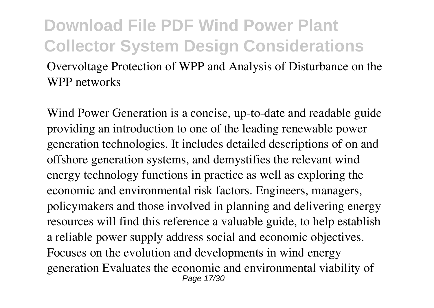Overvoltage Protection of WPP and Analysis of Disturbance on the WPP networks

Wind Power Generation is a concise, up-to-date and readable guide providing an introduction to one of the leading renewable power generation technologies. It includes detailed descriptions of on and offshore generation systems, and demystifies the relevant wind energy technology functions in practice as well as exploring the economic and environmental risk factors. Engineers, managers, policymakers and those involved in planning and delivering energy resources will find this reference a valuable guide, to help establish a reliable power supply address social and economic objectives. Focuses on the evolution and developments in wind energy generation Evaluates the economic and environmental viability of Page 17/30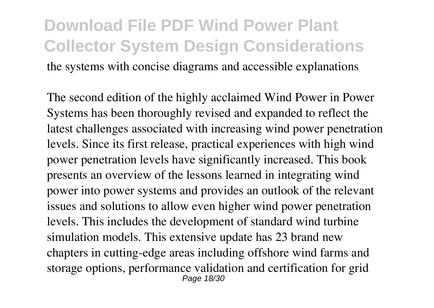### **Download File PDF Wind Power Plant Collector System Design Considerations** the systems with concise diagrams and accessible explanations

The second edition of the highly acclaimed Wind Power in Power Systems has been thoroughly revised and expanded to reflect the latest challenges associated with increasing wind power penetration levels. Since its first release, practical experiences with high wind power penetration levels have significantly increased. This book presents an overview of the lessons learned in integrating wind power into power systems and provides an outlook of the relevant issues and solutions to allow even higher wind power penetration levels. This includes the development of standard wind turbine simulation models. This extensive update has 23 brand new chapters in cutting-edge areas including offshore wind farms and storage options, performance validation and certification for grid Page 18/30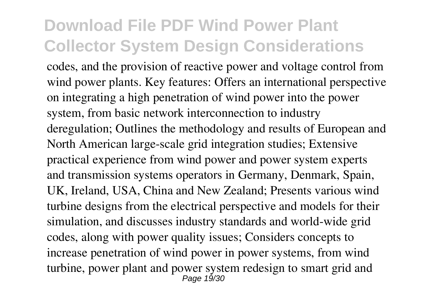codes, and the provision of reactive power and voltage control from wind power plants. Key features: Offers an international perspective on integrating a high penetration of wind power into the power system, from basic network interconnection to industry deregulation; Outlines the methodology and results of European and North American large-scale grid integration studies; Extensive practical experience from wind power and power system experts and transmission systems operators in Germany, Denmark, Spain, UK, Ireland, USA, China and New Zealand; Presents various wind turbine designs from the electrical perspective and models for their simulation, and discusses industry standards and world-wide grid codes, along with power quality issues; Considers concepts to increase penetration of wind power in power systems, from wind turbine, power plant and power system redesign to smart grid and Page 19/30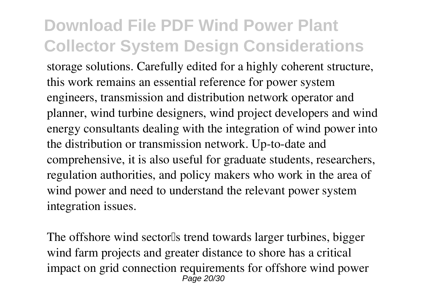storage solutions. Carefully edited for a highly coherent structure, this work remains an essential reference for power system engineers, transmission and distribution network operator and planner, wind turbine designers, wind project developers and wind energy consultants dealing with the integration of wind power into the distribution or transmission network. Up-to-date and comprehensive, it is also useful for graduate students, researchers, regulation authorities, and policy makers who work in the area of wind power and need to understand the relevant power system integration issues.

The offshore wind sector<sup>[1]</sup>s trend towards larger turbines, bigger wind farm projects and greater distance to shore has a critical impact on grid connection requirements for offshore wind power Page 20/30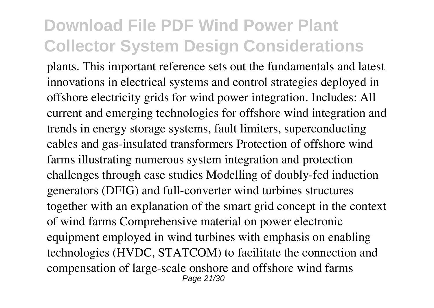plants. This important reference sets out the fundamentals and latest innovations in electrical systems and control strategies deployed in offshore electricity grids for wind power integration. Includes: All current and emerging technologies for offshore wind integration and trends in energy storage systems, fault limiters, superconducting cables and gas-insulated transformers Protection of offshore wind farms illustrating numerous system integration and protection challenges through case studies Modelling of doubly-fed induction generators (DFIG) and full-converter wind turbines structures together with an explanation of the smart grid concept in the context of wind farms Comprehensive material on power electronic equipment employed in wind turbines with emphasis on enabling technologies (HVDC, STATCOM) to facilitate the connection and compensation of large-scale onshore and offshore wind farms Page 21/30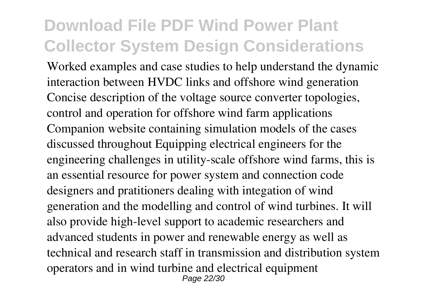Worked examples and case studies to help understand the dynamic interaction between HVDC links and offshore wind generation Concise description of the voltage source converter topologies, control and operation for offshore wind farm applications Companion website containing simulation models of the cases discussed throughout Equipping electrical engineers for the engineering challenges in utility-scale offshore wind farms, this is an essential resource for power system and connection code designers and pratitioners dealing with integation of wind generation and the modelling and control of wind turbines. It will also provide high-level support to academic researchers and advanced students in power and renewable energy as well as technical and research staff in transmission and distribution system operators and in wind turbine and electrical equipment Page 22/30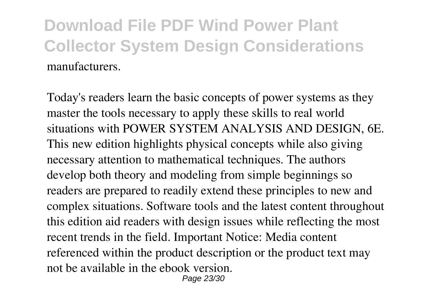Today's readers learn the basic concepts of power systems as they master the tools necessary to apply these skills to real world situations with POWER SYSTEM ANALYSIS AND DESIGN, 6E. This new edition highlights physical concepts while also giving necessary attention to mathematical techniques. The authors develop both theory and modeling from simple beginnings so readers are prepared to readily extend these principles to new and complex situations. Software tools and the latest content throughout this edition aid readers with design issues while reflecting the most recent trends in the field. Important Notice: Media content referenced within the product description or the product text may not be available in the ebook version. Page 23/30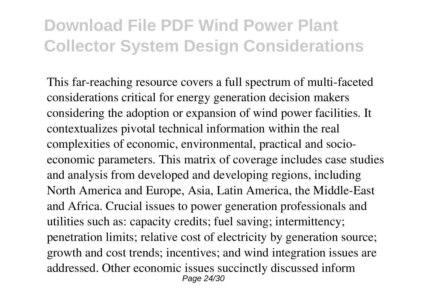This far-reaching resource covers a full spectrum of multi-faceted considerations critical for energy generation decision makers considering the adoption or expansion of wind power facilities. It contextualizes pivotal technical information within the real complexities of economic, environmental, practical and socioeconomic parameters. This matrix of coverage includes case studies and analysis from developed and developing regions, including North America and Europe, Asia, Latin America, the Middle-East and Africa. Crucial issues to power generation professionals and utilities such as: capacity credits; fuel saving; intermittency; penetration limits; relative cost of electricity by generation source; growth and cost trends; incentives; and wind integration issues are addressed. Other economic issues succinctly discussed inform Page 24/30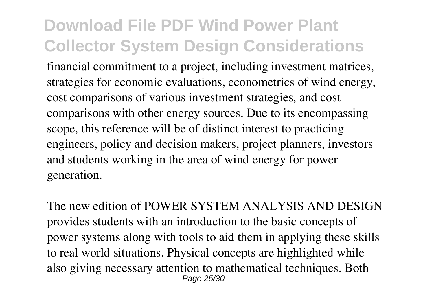financial commitment to a project, including investment matrices, strategies for economic evaluations, econometrics of wind energy, cost comparisons of various investment strategies, and cost comparisons with other energy sources. Due to its encompassing scope, this reference will be of distinct interest to practicing engineers, policy and decision makers, project planners, investors and students working in the area of wind energy for power generation.

The new edition of POWER SYSTEM ANALYSIS AND DESIGN provides students with an introduction to the basic concepts of power systems along with tools to aid them in applying these skills to real world situations. Physical concepts are highlighted while also giving necessary attention to mathematical techniques. Both Page 25/30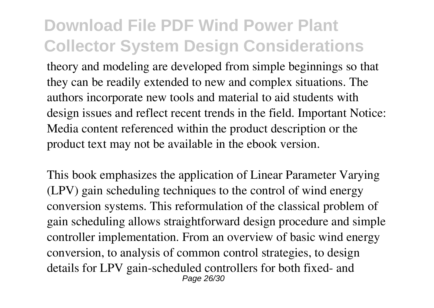theory and modeling are developed from simple beginnings so that they can be readily extended to new and complex situations. The authors incorporate new tools and material to aid students with design issues and reflect recent trends in the field. Important Notice: Media content referenced within the product description or the product text may not be available in the ebook version.

This book emphasizes the application of Linear Parameter Varying (LPV) gain scheduling techniques to the control of wind energy conversion systems. This reformulation of the classical problem of gain scheduling allows straightforward design procedure and simple controller implementation. From an overview of basic wind energy conversion, to analysis of common control strategies, to design details for LPV gain-scheduled controllers for both fixed- and Page 26/30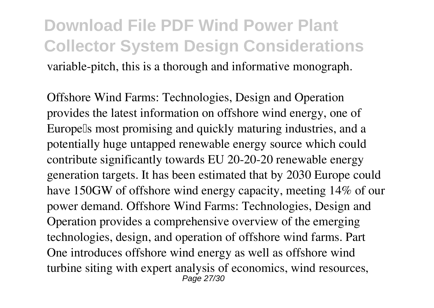### **Download File PDF Wind Power Plant Collector System Design Considerations** variable-pitch, this is a thorough and informative monograph.

Offshore Wind Farms: Technologies, Design and Operation provides the latest information on offshore wind energy, one of Europells most promising and quickly maturing industries, and a potentially huge untapped renewable energy source which could contribute significantly towards EU 20-20-20 renewable energy generation targets. It has been estimated that by 2030 Europe could have 150GW of offshore wind energy capacity, meeting 14% of our power demand. Offshore Wind Farms: Technologies, Design and Operation provides a comprehensive overview of the emerging technologies, design, and operation of offshore wind farms. Part One introduces offshore wind energy as well as offshore wind turbine siting with expert analysis of economics, wind resources, **Page 27/30**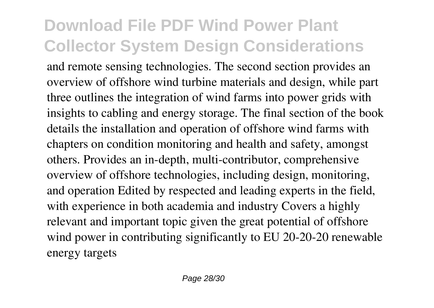and remote sensing technologies. The second section provides an overview of offshore wind turbine materials and design, while part three outlines the integration of wind farms into power grids with insights to cabling and energy storage. The final section of the book details the installation and operation of offshore wind farms with chapters on condition monitoring and health and safety, amongst others. Provides an in-depth, multi-contributor, comprehensive overview of offshore technologies, including design, monitoring, and operation Edited by respected and leading experts in the field, with experience in both academia and industry Covers a highly relevant and important topic given the great potential of offshore wind power in contributing significantly to EU 20-20-20 renewable energy targets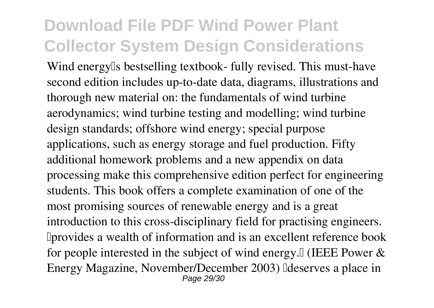Wind energy also bestselling textbook- fully revised. This must-have second edition includes up-to-date data, diagrams, illustrations and thorough new material on: the fundamentals of wind turbine aerodynamics; wind turbine testing and modelling; wind turbine design standards; offshore wind energy; special purpose applications, such as energy storage and fuel production. Fifty additional homework problems and a new appendix on data processing make this comprehensive edition perfect for engineering students. This book offers a complete examination of one of the most promising sources of renewable energy and is a great introduction to this cross-disciplinary field for practising engineers. Iprovides a wealth of information and is an excellent reference book for people interested in the subject of wind energy.<sup>[]</sup> (IEEE Power  $\&$ Energy Magazine, November/December 2003) Eldeserves a place in Page 29/30